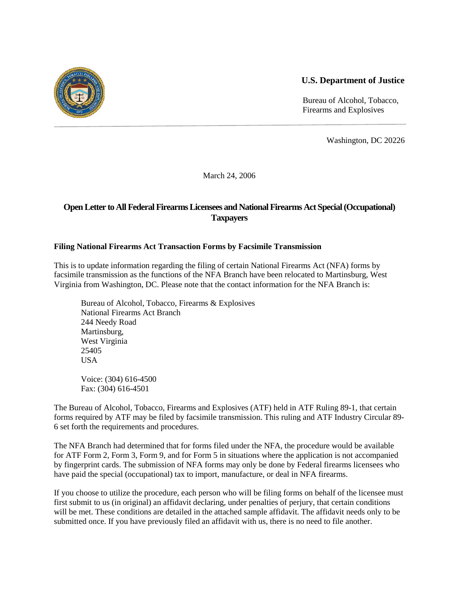

## **U.S. Department of Justice**

Bureau of Alcohol, Tobacco, Firearms and Explosives

Washington, DC 20226

March 24, 2006

## **Open Letter to All Federal Firearms Licensees and National Firearms Act Special (Occupational) Taxpayers**

## **Filing National Firearms Act Transaction Forms by Facsimile Transmission**

This is to update information regarding the filing of certain National Firearms Act (NFA) forms by facsimile transmission as the functions of the NFA Branch have been relocated to Martinsburg, West Virginia from Washington, DC. Please note that the contact information for the NFA Branch is:

Bureau of Alcohol, Tobacco, Firearms & Explosives National Firearms Act Branch 244 Needy Road Martinsburg, West Virginia 25405 USA

Voice: (304) 616-4500 Fax: (304) 616-4501

The Bureau of Alcohol, Tobacco, Firearms and Explosives (ATF) held in ATF Ruling 89-1, that certain forms required by ATF may be filed by facsimile transmission. This ruling and ATF Industry Circular 89- 6 set forth the requirements and procedures.

The NFA Branch had determined that for forms filed under the NFA, the procedure would be available for ATF Form 2, Form 3, Form 9, and for Form 5 in situations where the application is not accompanied by fingerprint cards. The submission of NFA forms may only be done by Federal firearms licensees who have paid the special (occupational) tax to import, manufacture, or deal in NFA firearms.

If you choose to utilize the procedure, each person who will be filing forms on behalf of the licensee must first submit to us (in original) an affidavit declaring, under penalties of perjury, that certain conditions will be met. These conditions are detailed in the attached sample affidavit. The affidavit needs only to be submitted once. If you have previously filed an affidavit with us, there is no need to file another.